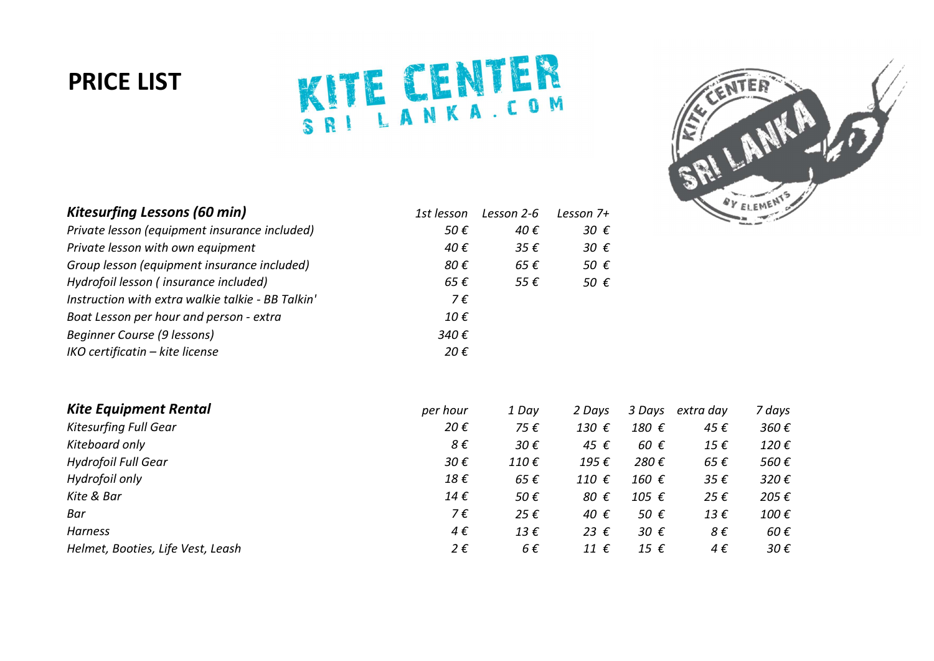## PRICE LIST

## KITE CENTER



| <b>Kitesurfing Lessons (60 min)</b>               | 1st lesson    | Lesson 2-6             | Lesson $7+$   |
|---------------------------------------------------|---------------|------------------------|---------------|
| Private lesson (equipment insurance included)     | 50 €          | 40 €                   | 30 $\epsilon$ |
| Private lesson with own equipment                 | 40€           | 35 $\epsilon$          | 30 $\epsilon$ |
| Group lesson (equipment insurance included)       | 80€           | $65 \text{ } \epsilon$ | 50 €          |
| Hydrofoil lesson (insurance included)             | 65 €          | 55 $\epsilon$          | 50 €          |
| Instruction with extra walkie talkie - BB Talkin' | 7€            |                        |               |
| Boat Lesson per hour and person - extra           | 10 €          |                        |               |
| Beginner Course (9 lessons)                       | 340€          |                        |               |
| IKO certificatin - kite license                   | 20 $\epsilon$ |                        |               |

| <b>Kite Equipment Rental</b>      | per hour     | 1 Day                  | 2 Davs         | 3 Days        | extra day    | 7 days         |
|-----------------------------------|--------------|------------------------|----------------|---------------|--------------|----------------|
| <b>Kitesurfing Full Gear</b>      | 20€          | 75€                    | 130 $\epsilon$ | 180 €         | 45€          | 360€           |
| Kiteboard only                    | 8€           | $30 \epsilon$          | 45 €           | 60 $\epsilon$ | 15€          | $120 \epsilon$ |
| <b>Hydrofoil Full Gear</b>        | 30€          | 110 $\epsilon$         | 195€           | 280€          | 65 €         | 560€           |
| Hydrofoil only                    | 18€          | $65 \text{ } \epsilon$ | 110 $\epsilon$ | 160 €         | 35€          | 320€           |
| Kite & Bar                        | 14€          | 50€                    | 80 €           | 105 €         | 25€          | 205€           |
| Bar                               | 7€           | 25 $\epsilon$          | 40 €           | 50 €          | $13 \in$     | 100€           |
| Harness                           | $4 \epsilon$ | 13 $\epsilon$          | 23 $\epsilon$  | 30 $\epsilon$ | 8€           | 60 $\epsilon$  |
| Helmet, Booties, Life Vest, Leash | 2€           | $6 \epsilon$           | 11 $\epsilon$  | 15 $\epsilon$ | $4 \epsilon$ | 30 $\epsilon$  |